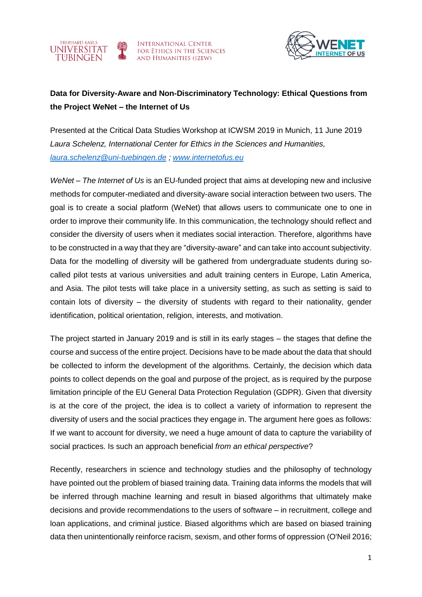

**INTERNATIONAL CENTER** FOR ETHICS IN THE SCIENCES **AND HUMANITIES (IZEW)** 



## **Data for Diversity-Aware and Non-Discriminatory Technology: Ethical Questions from the Project WeNet – the Internet of Us**

Presented at the Critical Data Studies Workshop at ICWSM 2019 in Munich, 11 June 2019 *Laura Schelenz, International Center for Ethics in the Sciences and Humanities, [laura.schelenz@uni-tuebingen.de](mailto:laura.schelenz@uni-tuebingen.de) ; [www.internetofus.eu](http://www.internetofus.eu/)*

*WeNet – The Internet of Us* is an EU-funded project that aims at developing new and inclusive methods for computer-mediated and diversity-aware social interaction between two users. The goal is to create a social platform (WeNet) that allows users to communicate one to one in order to improve their community life. In this communication, the technology should reflect and consider the diversity of users when it mediates social interaction. Therefore, algorithms have to be constructed in a way that they are "diversity-aware" and can take into account subjectivity. Data for the modelling of diversity will be gathered from undergraduate students during socalled pilot tests at various universities and adult training centers in Europe, Latin America, and Asia. The pilot tests will take place in a university setting, as such as setting is said to contain lots of diversity – the diversity of students with regard to their nationality, gender identification, political orientation, religion, interests, and motivation.

The project started in January 2019 and is still in its early stages – the stages that define the course and success of the entire project. Decisions have to be made about the data that should be collected to inform the development of the algorithms. Certainly, the decision which data points to collect depends on the goal and purpose of the project, as is required by the purpose limitation principle of the EU General Data Protection Regulation (GDPR). Given that diversity is at the core of the project, the idea is to collect a variety of information to represent the diversity of users and the social practices they engage in. The argument here goes as follows: If we want to account for diversity, we need a huge amount of data to capture the variability of social practices. Is such an approach beneficial *from an ethical perspective*?

Recently, researchers in science and technology studies and the philosophy of technology have pointed out the problem of biased training data. Training data informs the models that will be inferred through machine learning and result in biased algorithms that ultimately make decisions and provide recommendations to the users of software – in recruitment, college and loan applications, and criminal justice. Biased algorithms which are based on biased training data then unintentionally reinforce racism, sexism, and other forms of oppression (O'Neil 2016;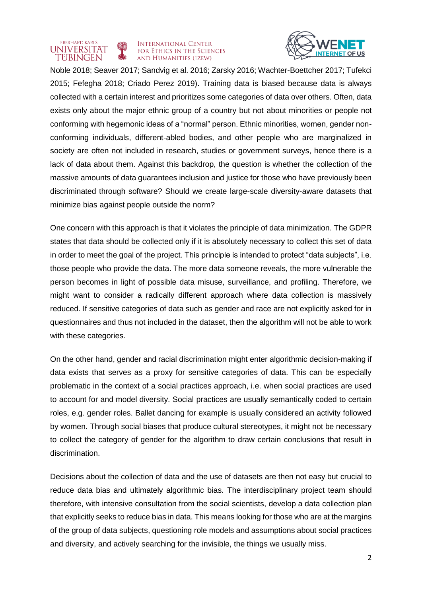## **INTERNATIONAL CENTER** FOR ETHICS IN THE SCIENCES **AND HUMANITIES (IZEW)**

**EBERHARD KARLS** 

**UNIVERSITAT** 

TUBINGEN



Noble 2018; Seaver 2017; Sandvig et al. 2016; Zarsky 2016; Wachter-Boettcher 2017; Tufekci 2015; Fefegha 2018; Criado Perez 2019). Training data is biased because data is always collected with a certain interest and prioritizes some categories of data over others. Often, data exists only about the major ethnic group of a country but not about minorities or people not conforming with hegemonic ideas of a "normal" person. Ethnic minorities, women, gender nonconforming individuals, different-abled bodies, and other people who are marginalized in society are often not included in research, studies or government surveys, hence there is a lack of data about them. Against this backdrop, the question is whether the collection of the massive amounts of data guarantees inclusion and justice for those who have previously been discriminated through software? Should we create large-scale diversity-aware datasets that minimize bias against people outside the norm?

One concern with this approach is that it violates the principle of data minimization. The GDPR states that data should be collected only if it is absolutely necessary to collect this set of data in order to meet the goal of the project. This principle is intended to protect "data subjects", i.e. those people who provide the data. The more data someone reveals, the more vulnerable the person becomes in light of possible data misuse, surveillance, and profiling. Therefore, we might want to consider a radically different approach where data collection is massively reduced. If sensitive categories of data such as gender and race are not explicitly asked for in questionnaires and thus not included in the dataset, then the algorithm will not be able to work with these categories.

On the other hand, gender and racial discrimination might enter algorithmic decision-making if data exists that serves as a proxy for sensitive categories of data. This can be especially problematic in the context of a social practices approach, i.e. when social practices are used to account for and model diversity. Social practices are usually semantically coded to certain roles, e.g. gender roles. Ballet dancing for example is usually considered an activity followed by women. Through social biases that produce cultural stereotypes, it might not be necessary to collect the category of gender for the algorithm to draw certain conclusions that result in discrimination.

Decisions about the collection of data and the use of datasets are then not easy but crucial to reduce data bias and ultimately algorithmic bias. The interdisciplinary project team should therefore, with intensive consultation from the social scientists, develop a data collection plan that explicitly seeks to reduce bias in data. This means looking for those who are at the margins of the group of data subjects, questioning role models and assumptions about social practices and diversity, and actively searching for the invisible, the things we usually miss.